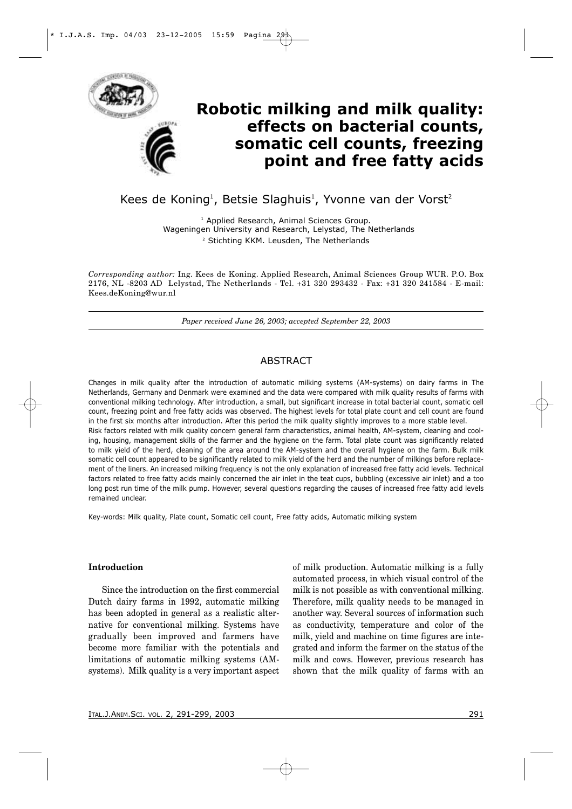

Kees de Koning<sup>1</sup>, Betsie Slaghuis<sup>1</sup>, Yvonne van der Vorst<sup>2</sup>

<sup>1</sup> Applied Research, Animal Sciences Group. Wageningen University and Research, Lelystad, The Netherlands <sup>2</sup> Stichting KKM. Leusden, The Netherlands

*Corresponding author:* Ing. Kees de Koning. Applied Research, Animal Sciences Group WUR. P.O. Box 2176, NL -8203 AD Lelystad, The Netherlands - Tel. +31 320 293432 - Fax: +31 320 241584 - E-mail: Kees.deKoning@wur.nl

*Paper received June 26, 2003; accepted September 22, 2003*

# ABSTRACT

Changes in milk quality after the introduction of automatic milking systems (AM-systems) on dairy farms in The Netherlands, Germany and Denmark were examined and the data were compared with milk quality results of farms with conventional milking technology. After introduction, a small, but significant increase in total bacterial count, somatic cell count, freezing point and free fatty acids was observed. The highest levels for total plate count and cell count are found in the first six months after introduction. After this period the milk quality slightly improves to a more stable level. Risk factors related with milk quality concern general farm characteristics, animal health, AM-system, cleaning and cooling, housing, management skills of the farmer and the hygiene on the farm. Total plate count was significantly related to milk yield of the herd, cleaning of the area around the AM-system and the overall hygiene on the farm. Bulk milk somatic cell count appeared to be significantly related to milk yield of the herd and the number of milkings before replacement of the liners. An increased milking frequency is not the only explanation of increased free fatty acid levels. Technical factors related to free fatty acids mainly concerned the air inlet in the teat cups, bubbling (excessive air inlet) and a too long post run time of the milk pump. However, several questions regarding the causes of increased free fatty acid levels remained unclear.

Key-words: Milk quality, Plate count, Somatic cell count, Free fatty acids, Automatic milking system

### **Introduction**

Since the introduction on the first commercial Dutch dairy farms in 1992, automatic milking has been adopted in general as a realistic alternative for conventional milking. Systems have gradually been improved and farmers have become more familiar with the potentials and limitations of automatic milking systems (AMsystems). Milk quality is a very important aspect

of milk production. Automatic milking is a fully automated process, in which visual control of the milk is not possible as with conventional milking. Therefore, milk quality needs to be managed in another way. Several sources of information such as conductivity, temperature and color of the milk, yield and machine on time figures are integrated and inform the farmer on the status of the milk and cows. However, previous research has shown that the milk quality of farms with an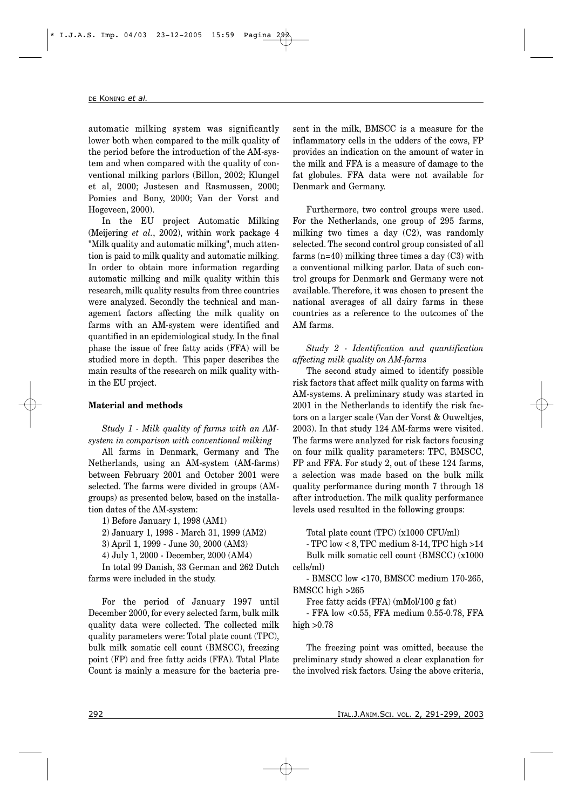automatic milking system was significantly lower both when compared to the milk quality of the period before the introduction of the AM-system and when compared with the quality of conventional milking parlors (Billon, 2002; Klungel et al, 2000; Justesen and Rasmussen, 2000; Pomies and Bony, 2000; Van der Vorst and Hogeveen, 2000).

In the EU project Automatic Milking (Meijering *et al.*, 2002), within work package 4 "Milk quality and automatic milking", much attention is paid to milk quality and automatic milking. In order to obtain more information regarding automatic milking and milk quality within this research, milk quality results from three countries were analyzed. Secondly the technical and management factors affecting the milk quality on farms with an AM-system were identified and quantified in an epidemiological study. In the final phase the issue of free fatty acids (FFA) will be studied more in depth. This paper describes the main results of the research on milk quality within the EU project.

## **Material and methods**

*Study 1 - Milk quality of farms with an AMsystem in comparison with conventional milking*

All farms in Denmark, Germany and The Netherlands, using an AM-system (AM-farms) between February 2001 and October 2001 were selected. The farms were divided in groups (AMgroups) as presented below, based on the installation dates of the AM-system:

1) Before January 1, 1998 (AM1)

2) January 1, 1998 - March 31, 1999 (AM2)

3) April 1, 1999 - June 30, 2000 (AM3)

4) July 1, 2000 - December, 2000 (AM4)

In total 99 Danish, 33 German and 262 Dutch farms were included in the study.

For the period of January 1997 until December 2000, for every selected farm, bulk milk quality data were collected. The collected milk quality parameters were: Total plate count (TPC), bulk milk somatic cell count (BMSCC), freezing point (FP) and free fatty acids (FFA). Total Plate Count is mainly a measure for the bacteria pre-

sent in the milk, BMSCC is a measure for the inflammatory cells in the udders of the cows, FP provides an indication on the amount of water in the milk and FFA is a measure of damage to the fat globules. FFA data were not available for Denmark and Germany.

Furthermore, two control groups were used. For the Netherlands, one group of 295 farms, milking two times a day (C2), was randomly selected. The second control group consisted of all farms  $(n=40)$  milking three times a day  $(C3)$  with a conventional milking parlor. Data of such control groups for Denmark and Germany were not available. Therefore, it was chosen to present the national averages of all dairy farms in these countries as a reference to the outcomes of the AM farms.

*Study 2 - Identification and quantification affecting milk quality on AM-farms*

The second study aimed to identify possible risk factors that affect milk quality on farms with AM-systems. A preliminary study was started in 2001 in the Netherlands to identify the risk factors on a larger scale (Van der Vorst & Ouweltjes, 2003). In that study 124 AM-farms were visited. The farms were analyzed for risk factors focusing on four milk quality parameters: TPC, BMSCC, FP and FFA. For study 2, out of these 124 farms, a selection was made based on the bulk milk quality performance during month 7 through 18 after introduction. The milk quality performance levels used resulted in the following groups:

Total plate count (TPC) (x1000 CFU/ml)

- TPC low < 8, TPC medium 8-14, TPC high >14 Bulk milk somatic cell count (BMSCC) (x1000 cells/ml)

- BMSCC low <170, BMSCC medium 170-265, BMSCC high >265

Free fatty acids (FFA) (mMol/100 g fat)

- FFA low <0.55, FFA medium 0.55-0.78, FFA high >0.78

The freezing point was omitted, because the preliminary study showed a clear explanation for the involved risk factors. Using the above criteria,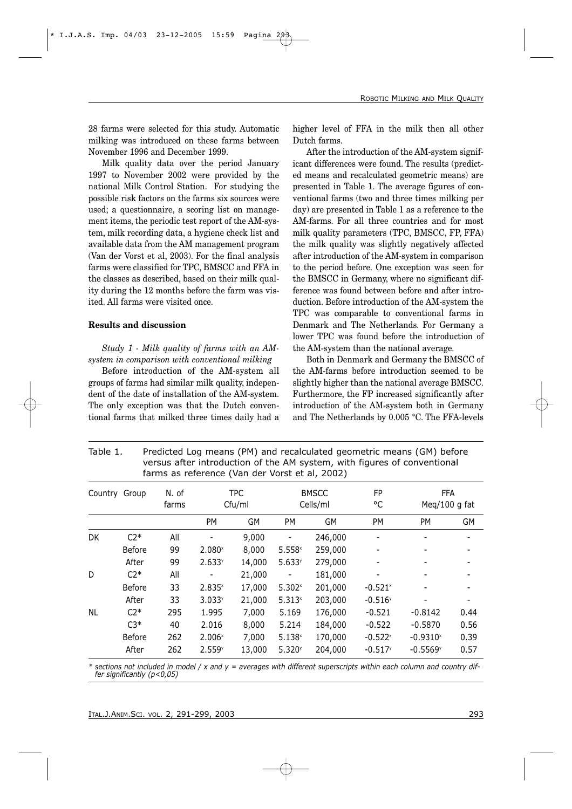28 farms were selected for this study. Automatic milking was introduced on these farms between November 1996 and December 1999.

Milk quality data over the period January 1997 to November 2002 were provided by the national Milk Control Station. For studying the possible risk factors on the farms six sources were used; a questionnaire, a scoring list on management items, the periodic test report of the AM-system, milk recording data, a hygiene check list and available data from the AM management program (Van der Vorst et al, 2003). For the final analysis farms were classified for TPC, BMSCC and FFA in the classes as described, based on their milk quality during the 12 months before the farm was visited. All farms were visited once.

## **Results and discussion**

*Study 1 - Milk quality of farms with an AMsystem in comparison with conventional milking*

Before introduction of the AM-system all groups of farms had similar milk quality, independent of the date of installation of the AM-system. The only exception was that the Dutch conventional farms that milked three times daily had a higher level of FFA in the milk then all other Dutch farms.

After the introduction of the AM-system significant differences were found. The results (predicted means and recalculated geometric means) are presented in Table 1. The average figures of conventional farms (two and three times milking per day) are presented in Table 1 as a reference to the AM-farms. For all three countries and for most milk quality parameters (TPC, BMSCC, FP, FFA) the milk quality was slightly negatively affected after introduction of the AM-system in comparison to the period before. One exception was seen for the BMSCC in Germany, where no significant difference was found between before and after introduction. Before introduction of the AM-system the TPC was comparable to conventional farms in Denmark and The Netherlands. For Germany a lower TPC was found before the introduction of the AM-system than the national average.

Both in Denmark and Germany the BMSCC of the AM-farms before introduction seemed to be slightly higher than the national average BMSCC. Furthermore, the FP increased significantly after introduction of the AM-system both in Germany and The Netherlands by 0.005 °C. The FFA-levels

| farms as reference (Van der Vorst et al, 2002) |               |                |                      |        |                          |           |                       |                             |           |
|------------------------------------------------|---------------|----------------|----------------------|--------|--------------------------|-----------|-----------------------|-----------------------------|-----------|
| Country Group                                  |               | N. of<br>farms | <b>TPC</b><br>Cfu/ml |        | <b>BMSCC</b><br>Cells/ml |           | <b>FP</b><br>°C       | <b>FFA</b><br>Meg/100 g fat |           |
|                                                |               |                |                      |        |                          |           |                       |                             |           |
|                                                |               |                | <b>PM</b>            | GM     | PM                       | <b>GM</b> | <b>PM</b>             | <b>PM</b>                   | <b>GM</b> |
| <b>DK</b>                                      | $C2*$         | All            |                      | 9,000  | $\overline{\phantom{a}}$ | 246,000   |                       |                             |           |
|                                                | Before        | 99             | $2.080*$             | 8,000  | $5.558*$                 | 259,000   |                       |                             |           |
|                                                | After         | 99             | 2.633 <sup>y</sup>   | 14,000 | 5.633                    | 279,000   |                       |                             |           |
| D                                              | $C2*$         | All            | ۰                    | 21,000 | $\overline{\phantom{a}}$ | 181,000   |                       |                             |           |
|                                                | <b>Before</b> | 33             | $2.835^{x}$          | 17,000 | $5.302*$                 | 201,000   | $-0.521$ <sup>*</sup> |                             |           |
|                                                | After         | 33             | 3.033 <sup>y</sup>   | 21,000 | $5.313*$                 | 203,000   | $-0.516$ <sup>y</sup> |                             |           |
| <b>NL</b>                                      | $C2*$         | 295            | 1.995                | 7,000  | 5.169                    | 176,000   | $-0.521$              | $-0.8142$                   | 0.44      |
|                                                | $C3*$         | 40             | 2.016                | 8,000  | 5.214                    | 184,000   | $-0.522$              | $-0.5870$                   | 0.56      |
|                                                | Before        | 262            | 2.006 <sup>x</sup>   | 7,000  | $5.138*$                 | 170,000   | $-0.522^{\times}$     | $-0.9310*$                  | 0.39      |
|                                                | After         | 262            | 2.559 <sup>y</sup>   | 13,000 | $5.320^{\circ}$          | 204,000   | $-0.517y$             | $-0.5569$                   | 0.57      |

Table 1. Predicted Log means (PM) and recalculated geometric means (GM) before versus after introduction of the AM system, with figures of conventional ge as reference (Van der Verst et

*\* sections not included in model / x and y = averages with different superscripts within each column and country differ significantly (p<0,05)*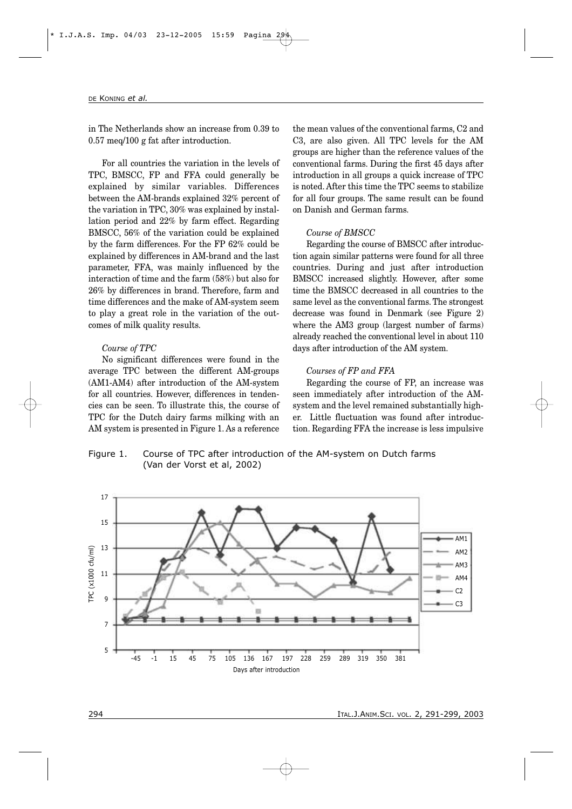in The Netherlands show an increase from 0.39 to 0.57 meq/100 g fat after introduction.

For all countries the variation in the levels of TPC, BMSCC, FP and FFA could generally be explained by similar variables. Differences between the AM-brands explained 32% percent of the variation in TPC, 30% was explained by installation period and 22% by farm effect. Regarding BMSCC, 56% of the variation could be explained by the farm differences. For the FP 62% could be explained by differences in AM-brand and the last parameter, FFA, was mainly influenced by the interaction of time and the farm (58%) but also for 26% by differences in brand. Therefore, farm and time differences and the make of AM-system seem to play a great role in the variation of the outcomes of milk quality results.

### *Course of TPC*

No significant differences were found in the average TPC between the different AM-groups (AM1-AM4) after introduction of the AM-system for all countries. However, differences in tendencies can be seen. To illustrate this, the course of TPC for the Dutch dairy farms milking with an AM system is presented in Figure 1. As a reference

the mean values of the conventional farms, C2 and C3, are also given. All TPC levels for the AM groups are higher than the reference values of the conventional farms. During the first 45 days after introduction in all groups a quick increase of TPC is noted. After this time the TPC seems to stabilize for all four groups. The same result can be found on Danish and German farms.

### *Course of BMSCC*

Regarding the course of BMSCC after introduction again similar patterns were found for all three countries. During and just after introduction BMSCC increased slightly. However, after some time the BMSCC decreased in all countries to the same level as the conventional farms. The strongest decrease was found in Denmark (see Figure 2) where the AM3 group (largest number of farms) already reached the conventional level in about 110 days after introduction of the AM system.

#### *Courses of FP and FFA*

Regarding the course of FP, an increase was seen immediately after introduction of the AMsystem and the level remained substantially higher. Little fluctuation was found after introduction. Regarding FFA the increase is less impulsive



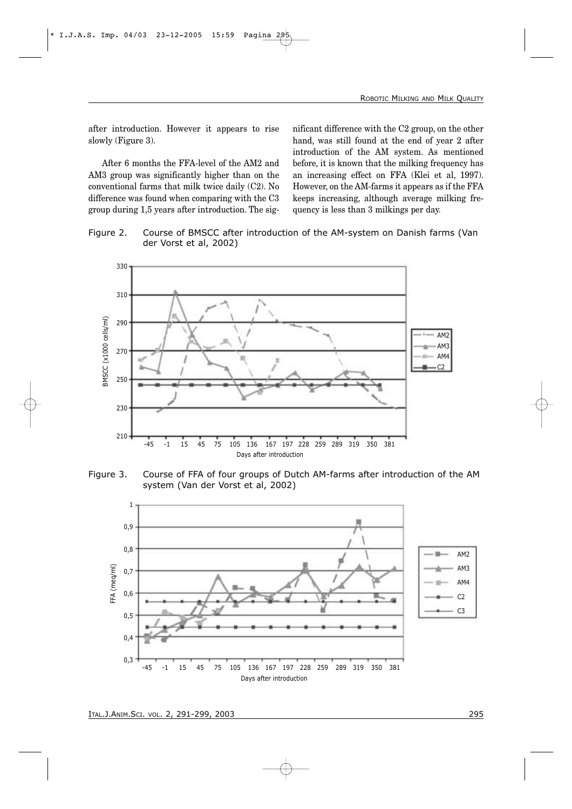after introduction. However it appears to rise slowly (Figure 3).

After 6 months the FFA-level of the AM2 and AM3 group was significantly higher than on the conventional farms that milk twice daily (C2). No difference was found when comparing with the C3 group during 1,5 years after introduction. The significant difference with the C2 group, on the other hand, was still found at the end of year 2 after introduction of the AM system. As mentioned before, it is known that the milking frequency has an increasing effect on FFA (Klei et al, 1997). However, on the AM-farms it appears as if the FFA keeps increasing, although average milking frequency is less than 3 milkings per day.

Figure 2. Course of BMSCC after introduction of the AM-system on Danish farms (Van der Vorst et al, 2002)



Figure 3. Course of FFA of four groups of Dutch AM-farms after introduction of the AM system (Van der Vorst et al, 2002)

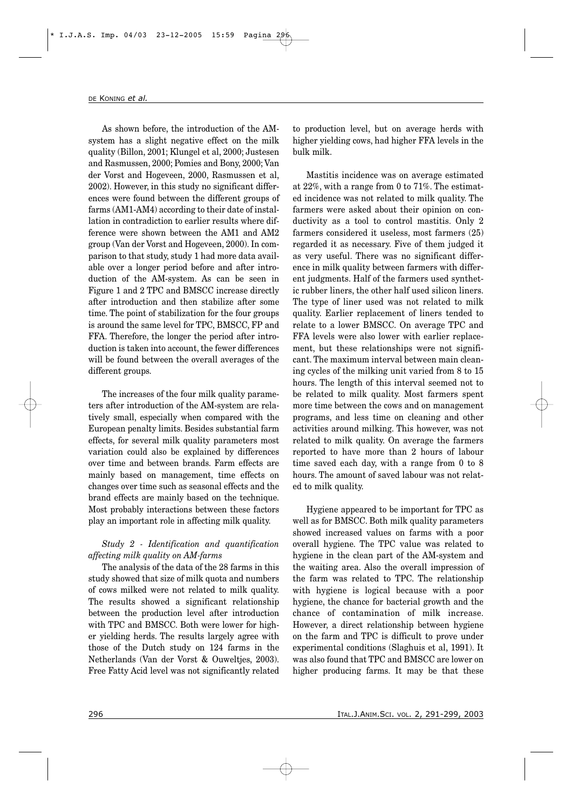As shown before, the introduction of the AMsystem has a slight negative effect on the milk quality (Billon, 2001; Klungel et al, 2000; Justesen and Rasmussen, 2000; Pomies and Bony, 2000; Van der Vorst and Hogeveen, 2000, Rasmussen et al, 2002). However, in this study no significant differences were found between the different groups of farms (AM1-AM4) according to their date of installation in contradiction to earlier results where difference were shown between the AM1 and AM2 group (Van der Vorst and Hogeveen, 2000). In comparison to that study, study 1 had more data available over a longer period before and after introduction of the AM-system. As can be seen in Figure 1 and 2 TPC and BMSCC increase directly after introduction and then stabilize after some time. The point of stabilization for the four groups is around the same level for TPC, BMSCC, FP and FFA. Therefore, the longer the period after introduction is taken into account, the fewer differences will be found between the overall averages of the different groups.

The increases of the four milk quality parameters after introduction of the AM-system are relatively small, especially when compared with the European penalty limits. Besides substantial farm effects, for several milk quality parameters most variation could also be explained by differences over time and between brands. Farm effects are mainly based on management, time effects on changes over time such as seasonal effects and the brand effects are mainly based on the technique. Most probably interactions between these factors play an important role in affecting milk quality.

# *Study 2 - Identification and quantification affecting milk quality on AM-farms*

The analysis of the data of the 28 farms in this study showed that size of milk quota and numbers of cows milked were not related to milk quality. The results showed a significant relationship between the production level after introduction with TPC and BMSCC. Both were lower for higher yielding herds. The results largely agree with those of the Dutch study on 124 farms in the Netherlands (Van der Vorst & Ouweltjes, 2003). Free Fatty Acid level was not significantly related to production level, but on average herds with higher yielding cows, had higher FFA levels in the bulk milk.

Mastitis incidence was on average estimated at 22%, with a range from 0 to 71%. The estimated incidence was not related to milk quality. The farmers were asked about their opinion on conductivity as a tool to control mastitis. Only 2 farmers considered it useless, most farmers (25) regarded it as necessary. Five of them judged it as very useful. There was no significant difference in milk quality between farmers with different judgments. Half of the farmers used synthetic rubber liners, the other half used silicon liners. The type of liner used was not related to milk quality. Earlier replacement of liners tended to relate to a lower BMSCC. On average TPC and FFA levels were also lower with earlier replacement, but these relationships were not significant. The maximum interval between main cleaning cycles of the milking unit varied from 8 to 15 hours. The length of this interval seemed not to be related to milk quality. Most farmers spent more time between the cows and on management programs, and less time on cleaning and other activities around milking. This however, was not related to milk quality. On average the farmers reported to have more than 2 hours of labour time saved each day, with a range from 0 to 8 hours. The amount of saved labour was not related to milk quality.

Hygiene appeared to be important for TPC as well as for BMSCC. Both milk quality parameters showed increased values on farms with a poor overall hygiene. The TPC value was related to hygiene in the clean part of the AM-system and the waiting area. Also the overall impression of the farm was related to TPC. The relationship with hygiene is logical because with a poor hygiene, the chance for bacterial growth and the chance of contamination of milk increase. However, a direct relationship between hygiene on the farm and TPC is difficult to prove under experimental conditions (Slaghuis et al, 1991). It was also found that TPC and BMSCC are lower on higher producing farms. It may be that these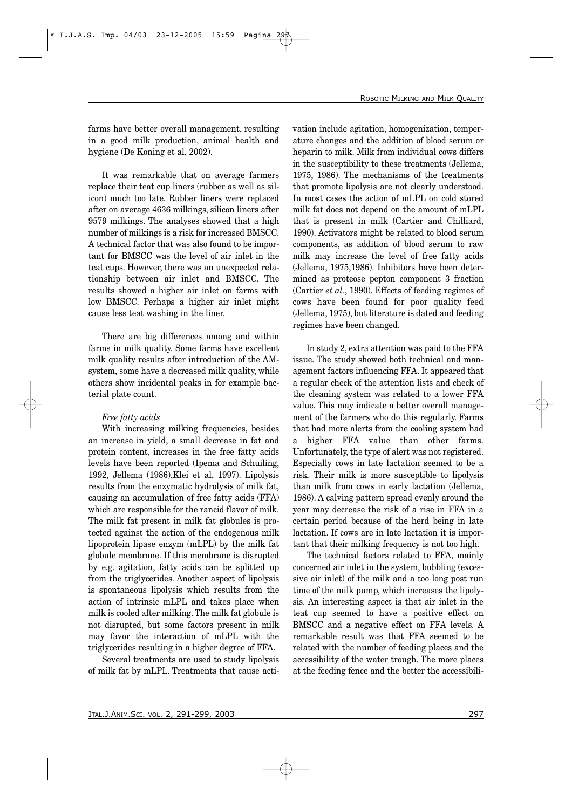farms have better overall management, resulting in a good milk production, animal health and hygiene (De Koning et al, 2002).

It was remarkable that on average farmers replace their teat cup liners (rubber as well as silicon) much too late. Rubber liners were replaced after on average 4636 milkings, silicon liners after 9579 milkings. The analyses showed that a high number of milkings is a risk for increased BMSCC. A technical factor that was also found to be important for BMSCC was the level of air inlet in the teat cups. However, there was an unexpected relationship between air inlet and BMSCC. The results showed a higher air inlet on farms with low BMSCC. Perhaps a higher air inlet might cause less teat washing in the liner.

There are big differences among and within farms in milk quality. Some farms have excellent milk quality results after introduction of the AMsystem, some have a decreased milk quality, while others show incidental peaks in for example bacterial plate count.

## *Free fatty acids*

With increasing milking frequencies, besides an increase in yield, a small decrease in fat and protein content, increases in the free fatty acids levels have been reported (Ipema and Schuiling, 1992, Jellema (1986),Klei et al, 1997). Lipolysis results from the enzymatic hydrolysis of milk fat, causing an accumulation of free fatty acids (FFA) which are responsible for the rancid flavor of milk. The milk fat present in milk fat globules is protected against the action of the endogenous milk lipoprotein lipase enzym (mLPL) by the milk fat globule membrane. If this membrane is disrupted by e.g. agitation, fatty acids can be splitted up from the triglycerides. Another aspect of lipolysis is spontaneous lipolysis which results from the action of intrinsic mLPL and takes place when milk is cooled after milking. The milk fat globule is not disrupted, but some factors present in milk may favor the interaction of mLPL with the triglycerides resulting in a higher degree of FFA.

Several treatments are used to study lipolysis of milk fat by mLPL. Treatments that cause acti-

vation include agitation, homogenization, temperature changes and the addition of blood serum or heparin to milk. Milk from individual cows differs in the susceptibility to these treatments (Jellema, 1975, 1986). The mechanisms of the treatments that promote lipolysis are not clearly understood. In most cases the action of mLPL on cold stored milk fat does not depend on the amount of mLPL that is present in milk (Cartier and Chilliard, 1990). Activators might be related to blood serum components, as addition of blood serum to raw milk may increase the level of free fatty acids (Jellema, 1975,1986). Inhibitors have been determined as proteose pepton component 3 fraction (Cartier *et al.*, 1990). Effects of feeding regimes of cows have been found for poor quality feed (Jellema, 1975), but literature is dated and feeding regimes have been changed.

In study 2, extra attention was paid to the FFA issue. The study showed both technical and management factors influencing FFA. It appeared that a regular check of the attention lists and check of the cleaning system was related to a lower FFA value. This may indicate a better overall management of the farmers who do this regularly. Farms that had more alerts from the cooling system had a higher FFA value than other farms. Unfortunately, the type of alert was not registered. Especially cows in late lactation seemed to be a risk. Their milk is more susceptible to lipolysis than milk from cows in early lactation (Jellema, 1986). A calving pattern spread evenly around the year may decrease the risk of a rise in FFA in a certain period because of the herd being in late lactation. If cows are in late lactation it is important that their milking frequency is not too high.

The technical factors related to FFA, mainly concerned air inlet in the system, bubbling (excessive air inlet) of the milk and a too long post run time of the milk pump, which increases the lipolysis. An interesting aspect is that air inlet in the teat cup seemed to have a positive effect on BMSCC and a negative effect on FFA levels. A remarkable result was that FFA seemed to be related with the number of feeding places and the accessibility of the water trough. The more places at the feeding fence and the better the accessibili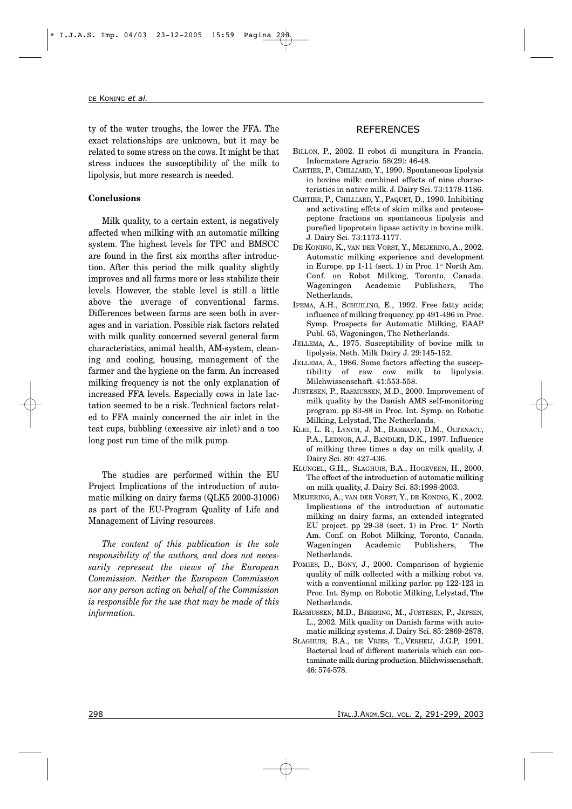ty of the water troughs, the lower the FFA. The exact relationships are unknown, but it may be related to some stress on the cows. It might be that stress induces the susceptibility of the milk to lipolysis, but more research is needed.

### **Conclusions**

Milk quality, to a certain extent, is negatively affected when milking with an automatic milking system. The highest levels for TPC and BMSCC are found in the first six months after introduction. After this period the milk quality slightly improves and all farms more or less stabilize their levels. However, the stable level is still a little above the average of conventional farms. Differences between farms are seen both in averages and in variation. Possible risk factors related with milk quality concerned several general farm characteristics, animal health, AM-system, cleaning and cooling, housing, management of the farmer and the hygiene on the farm. An increased milking frequency is not the only explanation of increased FFA levels. Especially cows in late lactation seemed to be a risk. Technical factors related to FFA mainly concerned the air inlet in the teat cups, bubbling (excessive air inlet) and a too long post run time of the milk pump.

The studies are performed within the EU Project Implications of the introduction of automatic milking on dairy farms (QLK5 2000-31006) as part of the EU-Program Quality of Life and Management of Living resources.

*The content of this publication is the sole responsibility of the authors, and does not necessarily represent the views of the European Commission. Neither the European Commission nor any person acting on behalf of the Commission is responsible for the use that may be made of this information.*

## **REFERENCES**

- BILLON, P., 2002. Il robot di mungitura in Francia. Informatore Agrario. 58(29): 46-48.
- CARTIER, P., CHILLIARD, Y., 1990. Spontaneous lipolysis in bovine milk: combined effects of nine characteristics in native milk. J. Dairy Sci. 73:1178-1186.
- CARTIER, P., CHILLIARD, Y., PAQUET, D., 1990. Inhibiting and activating effcts of skim milks and proteosepeptone fractions on spontaneous lipolysis and purefied lipoprotein lipase activity in bovine milk. J. Dairy Sci. 73:1173-1177.
- DE KONING, K., VAN DER VORST, Y., MEIJERING, A., 2002. Automatic milking experience and development in Europe. pp 1-11 (sect. 1) in Proc.  $1<sup>st</sup>$  North Am. Conf. on Robot Milking, Toronto, Canada. Wageningen Academic Publishers, The Netherlands.
- IPEMA, A.H., SCHUILING, E., 1992. Free fatty acids; influence of milking frequency. pp 491-496 in Proc. Symp. Prospects for Automatic Milking, EAAP Publ. 65, Wageningen, The Netherlands.
- JELLEMA, A., 1975. Susceptibility of bovine milk to lipolysis. Neth. Milk Dairy J. 29:145-152.
- JELLEMA, A., 1986. Some factors affecting the susceptibility of raw cow milk to lipolysis. Milchwissenschaft. 41:553-558.
- JUSTESEN, P., RASMUSSEN, M.D., 2000. Improvement of milk quality by the Danish AMS self-monitoring program. pp 83-88 in Proc. Int. Symp. on Robotic Milking, Lelystad, The Netherlands.
- KLEI, L. R., LYNCH, J. M., BARBANO, D.M., OLTENACU, P.A., LEDNOR, A.J., BANDLER, D.K., 1997. Influence of milking three times a day on milk quality, J. Dairy Sci. 80: 427-436.
- KLUNGEL, G.H.,. SLAGHUIS, B.A., HOGEVEEN, H., 2000. The effect of the introduction of automatic milking on milk quality, J. Dairy Sci. 83:1998-2003.
- MEIJERING, A., VAN DER VORST, Y., DE KONING, K., 2002. Implications of the introduction of automatic milking on dairy farms, an extended integrated EU project. pp 29-38 (sect. 1) in Proc.  $1<sup>st</sup>$  North Am. Conf. on Robot Milking, Toronto, Canada. Wageningen Academic Publishers, The Netherlands.
- POMIES, D., BONY, J., 2000. Comparison of hygienic quality of milk collected with a milking robot vs. with a conventional milking parlor. pp 122-123 in Proc. Int. Symp. on Robotic Milking, Lelystad, The Netherlands.
- RASMUSSEN, M.D., BJERRING, M., JUSTESEN, P., JEPSEN, L., 2002. Milk quality on Danish farms with automatic milking systems. J. Dairy Sci. 85: 2869-2878.
- SLAGHUIS, B.A., DE VRIES, T.,.VERHEIJ, J.G.P, 1991. Bacterial load of different materials which can contaminate milk during production. Milchwissenschaft. 46: 574-578.